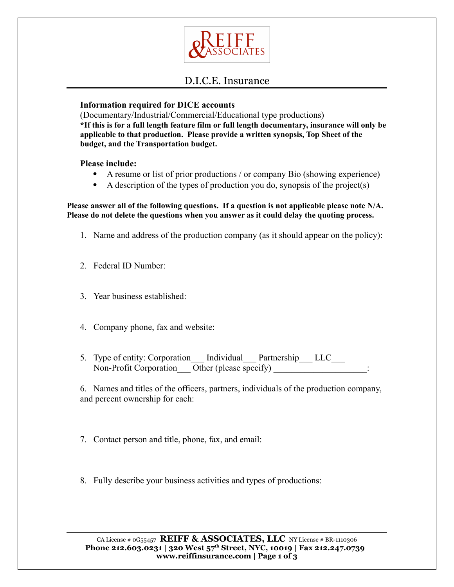

## D.I.C.E. Insurance

### **Information required for DICE accounts**

(Documentary/Industrial/Commercial/Educational type productions) **\*If this is for a full length feature film or full length documentary, insurance will only be applicable to that production. Please provide a written synopsis, Top Sheet of the budget, and the Transportation budget.**

#### **Please include:**

- A resume or list of prior productions / or company Bio (showing experience)
- $\bullet$  A description of the types of production you do, synopsis of the project(s)

**Please answer all of the following questions. If a question is not applicable please note N/A. Please do not delete the questions when you answer as it could delay the quoting process.**

- 1. Name and address of the production company (as it should appear on the policy):
- 2. Federal ID Number:
- 3. Year business established:
- 4. Company phone, fax and website:
- 5. Type of entity: Corporation Individual Partnership LLC Non-Profit Corporation Other (please specify)

6. Names and titles of the officers, partners, individuals of the production company, and percent ownership for each:

- 7. Contact person and title, phone, fax, and email:
- 8. Fully describe your business activities and types of productions: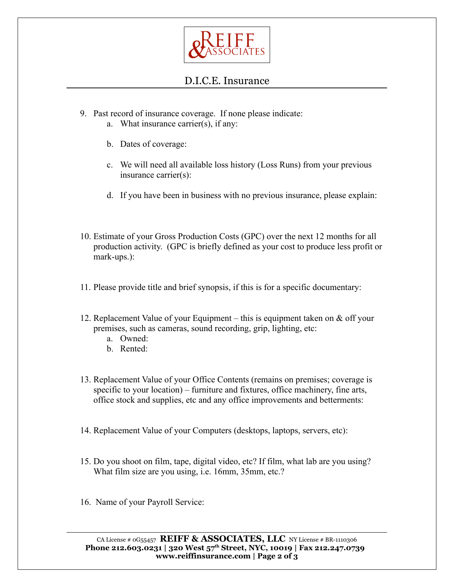

# D.I.C.E. Insurance

- 9. Past record of insurance coverage. If none please indicate:
	- a. What insurance carrier(s), if any:
	- b. Dates of coverage:
	- c. We will need all available loss history (Loss Runs) from your previous insurance carrier(s):
	- d. If you have been in business with no previous insurance, please explain:
- 10. Estimate of your Gross Production Costs (GPC) over the next 12 months for all production activity. (GPC is briefly defined as your cost to produce less profit or mark-ups.):
- 11. Please provide title and brief synopsis, if this is for a specific documentary:
- 12. Replacement Value of your Equipment this is equipment taken on & off your premises, such as cameras, sound recording, grip, lighting, etc:
	- a. Owned:
	- b. Rented:
- 13. Replacement Value of your Office Contents (remains on premises; coverage is specific to your location) – furniture and fixtures, office machinery, fine arts, office stock and supplies, etc and any office improvements and betterments:
- 14. Replacement Value of your Computers (desktops, laptops, servers, etc):
- 15. Do you shoot on film, tape, digital video, etc? If film, what lab are you using? What film size are you using, i.e. 16mm, 35mm, etc.?
- 16. Name of your Payroll Service: